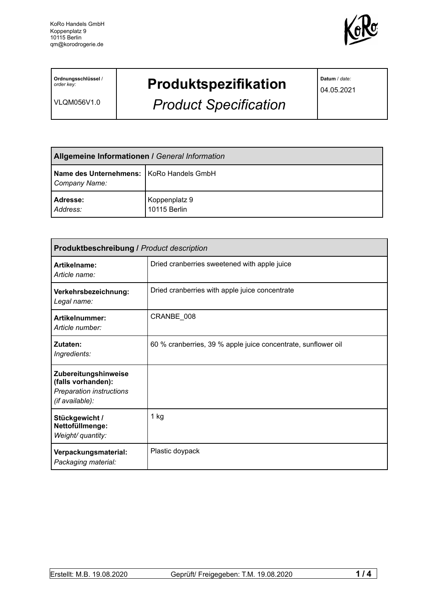

**Ordnungsschlüssel** / *order key:*

VLQM056V1.0

## **Produktspezifikation**

*Product Specification*

**Datum** / *date:*

04.05.2021

| <b>Allgemeine Informationen / General Information</b>       |                               |
|-------------------------------------------------------------|-------------------------------|
| Name des Unternehmens:   KoRo Handels GmbH<br>Company Name: |                               |
| Adresse:<br>Address:                                        | Koppenplatz 9<br>10115 Berlin |

| <b>Produktbeschreibung / Product description</b>                                          |                                                               |  |  |
|-------------------------------------------------------------------------------------------|---------------------------------------------------------------|--|--|
| Artikelname:<br>Article name:                                                             | Dried cranberries sweetened with apple juice                  |  |  |
| Verkehrsbezeichnung:<br>Legal name:                                                       | Dried cranberries with apple juice concentrate                |  |  |
| Artikelnummer:<br>Article number:                                                         | CRANBE_008                                                    |  |  |
| Zutaten:<br>Ingredients:                                                                  | 60 % cranberries, 39 % apple juice concentrate, sunflower oil |  |  |
| Zubereitungshinweise<br>(falls vorhanden):<br>Preparation instructions<br>(if available): |                                                               |  |  |
| Stückgewicht /<br>Nettofüllmenge:<br>Weight/ quantity:                                    | 1 kg                                                          |  |  |
| Verpackungsmaterial:<br>Packaging material:                                               | Plastic doypack                                               |  |  |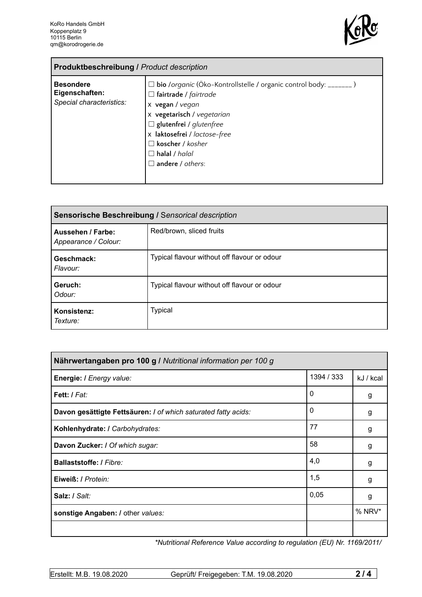

| <b>Produktbeschreibung / Product description</b>               |                                                                                                                                                                                                                                                                                                           |  |
|----------------------------------------------------------------|-----------------------------------------------------------------------------------------------------------------------------------------------------------------------------------------------------------------------------------------------------------------------------------------------------------|--|
| <b>Besondere</b><br>Eigenschaften:<br>Special characteristics: | $\Box$ bio /organic (Öko-Kontrollstelle / organic control body: _______)<br>$\Box$ fairtrade / fairtrade<br>x vegan / vegan<br>x vegetarisch / vegetarian<br>$\Box$ glutenfrei / glutenfree<br>x laktosefrei / lactose-free<br>$\Box$ koscher / kosher<br>$\Box$ halal / halal<br>$\Box$ andere / others: |  |

| Sensorische Beschreibung / Sensorical description |                                              |  |
|---------------------------------------------------|----------------------------------------------|--|
| Aussehen / Farbe:<br>Appearance / Colour:         | Red/brown, sliced fruits                     |  |
| Geschmack:<br>Flavour:                            | Typical flavour without off flavour or odour |  |
| Geruch:<br>Odour:                                 | Typical flavour without off flavour or odour |  |
| Konsistenz:<br>Texture:                           | <b>Typical</b>                               |  |

| Nährwertangaben pro 100 g / Nutritional information per 100 g  |            |           |
|----------------------------------------------------------------|------------|-----------|
| Energie: I Energy value:                                       | 1394 / 333 | kJ / kcal |
| <b>Fett:</b> <i>I Fat:</i>                                     | 0          | g         |
| Davon gesättigte Fettsäuren: I of which saturated fatty acids: | 0          | g         |
| Kohlenhydrate: I Carbohydrates:                                | 77         | g         |
| Davon Zucker: / Of which sugar:                                | 58         | g         |
| Ballaststoffe: / Fibre:                                        | 4,0        | g         |
| Eiweiß: / Protein:                                             | 1,5        | g         |
| Salz: / Salt:                                                  | 0,05       | g         |
| sonstige Angaben: / other values:                              |            | $%$ NRV*  |
|                                                                |            |           |

*\*Nutritional Reference Value according to regulation (EU) Nr. 1169/2011/*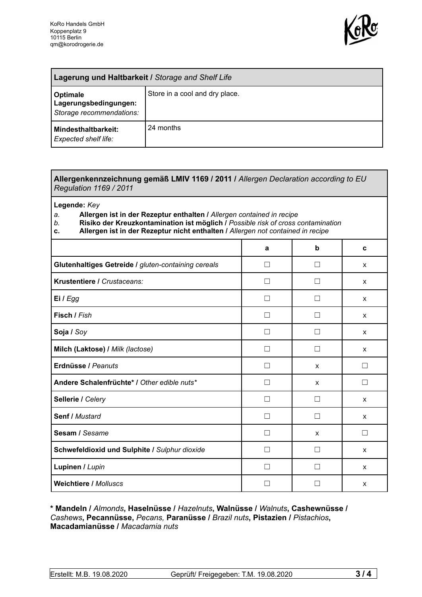

| Lagerung und Haltbarkeit / Storage and Shelf Life                    |                                |  |
|----------------------------------------------------------------------|--------------------------------|--|
| <b>Optimale</b><br>Lagerungsbedingungen:<br>Storage recommendations: | Store in a cool and dry place. |  |
| <b>Mindesthaltbarkeit:</b><br>Expected shelf life:                   | 24 months                      |  |

## **Allergenkennzeichnung gemäß LMIV 1169 / 2011 /** *Allergen Declaration according to EU Regulation 1169 / 2011*

**Legende:** *Key*

*a.* **Allergen ist in der Rezeptur enthalten /** *Allergen contained in recipe*

- *b.* **Risiko der Kreuzkontamination ist möglich /** *Possible risk of cross contamination*
- **c. Allergen ist in der Rezeptur nicht enthalten /** *Allergen not contained in recipe*

|                                                     | a                 | b             | C            |
|-----------------------------------------------------|-------------------|---------------|--------------|
| Glutenhaltiges Getreide / gluten-containing cereals | П                 | П             | X            |
| Krustentiere / Crustaceans:                         |                   | $\mathcal{L}$ | $\mathsf{x}$ |
| Ei / Egg                                            |                   |               | $\mathsf{x}$ |
| Fisch / Fish                                        | П                 |               | X            |
| Soja / Soy                                          | П                 |               | $\mathsf{x}$ |
| Milch (Laktose) / Milk (lactose)                    | П                 | $\mathsf{L}$  | $\mathsf{x}$ |
| Erdnüsse / Peanuts                                  | П                 | X             | П            |
| Andere Schalenfrüchte* / Other edible nuts*         | П                 | X             | $\Box$       |
| Sellerie / Celery                                   | П                 | $\Box$        | X            |
| Senf / Mustard                                      | П                 | □             | $\mathsf{x}$ |
| Sesam / Sesame                                      | П                 | X             | $\Box$       |
| Schwefeldioxid und Sulphite / Sulphur dioxide       | $\vert \ \ \vert$ |               | X            |
| Lupinen / Lupin                                     |                   |               | X            |
| <b>Weichtiere / Molluscs</b>                        |                   |               | X            |

**\* Mandeln /** *Almonds***, Haselnüsse /** *Hazelnuts***, Walnüsse /** *Walnuts***, Cashewnüsse /** *Cashews***, Pecannüsse,** *Pecans,* **Paranüsse /** *Brazil nuts***, Pistazien /** *Pistachios***, Macadamianüsse /** *Macadamia nuts*